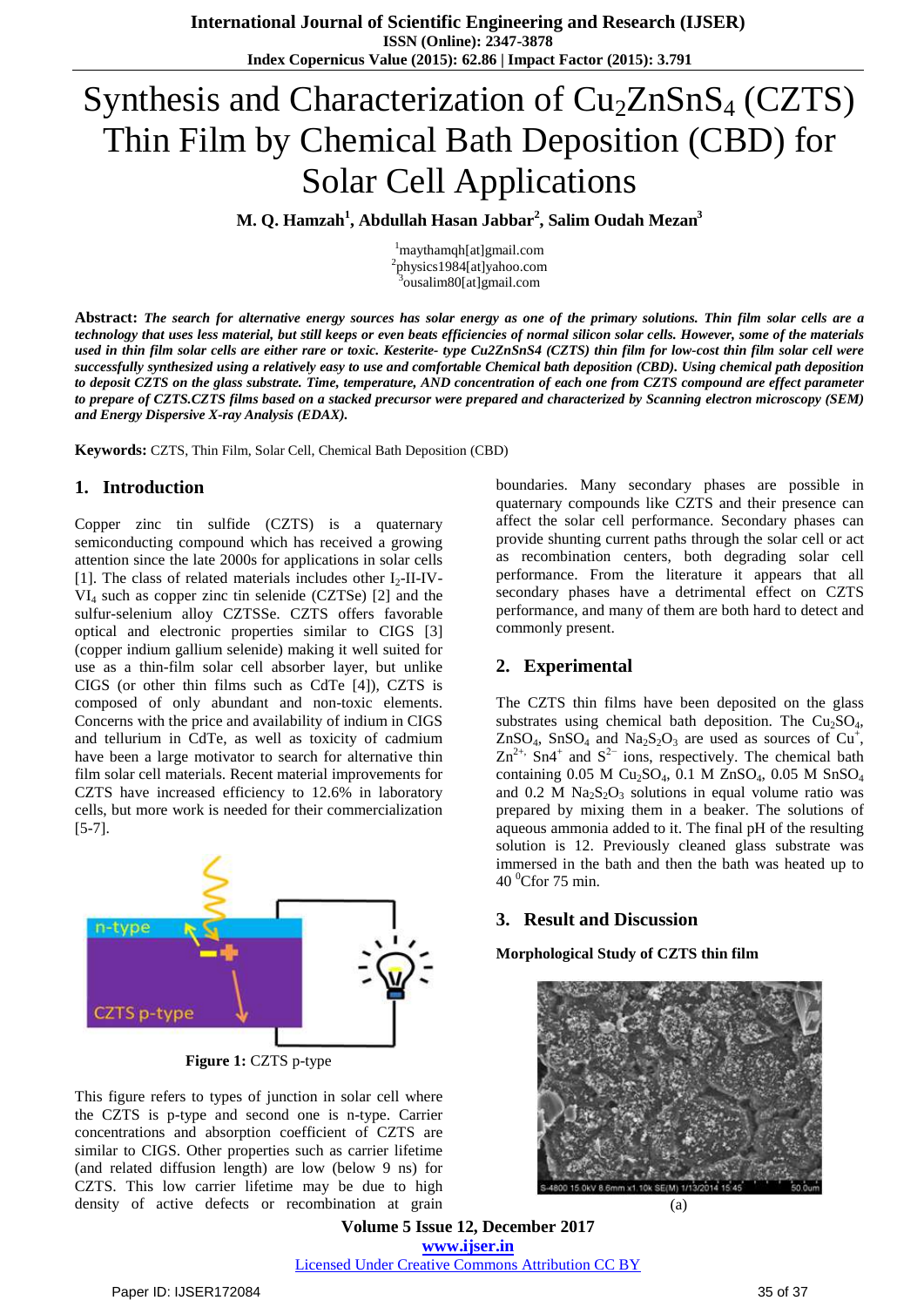# Synthesis and Characterization of  $Cu<sub>2</sub>ZnSnS<sub>4</sub>$  (CZTS) Thin Film by Chemical Bath Deposition (CBD) for Solar Cell Applications

**M. <sup>1</sup> <sup>2</sup> <sup>3</sup> Q. Hamzah , Abdullah Hasan Jabbar , Salim Oudah Mezan**

<sup>1</sup>maythamqh[at]gmail.com 2 physics1984[at]yahoo.com <sup>3</sup>ousalim80[at]gmail.com

Abstract: The search for alternative energy sources has solar energy as one of the primary solutions. Thin film solar cells are a technology that uses less material, but still keeps or even beats efficiencies of normal silicon solar cells. However, some of the materials used in thin film solar cells are either rare or toxic. Kesterite- type Cu2ZnSnS4 (CZTS) thin film for low-cost thin film solar cell were successfully synthesized using a relatively easy to use and comfortable Chemical bath deposition (CBD). Using chemical path deposition to deposit CZTS on the glass substrate. Time, temperature, AND concentration of each one from CZTS compound are effect parameter to prepare of CZTS.CZTS films based on a stacked precursor were prepared and characterized by Scanning electron microscopy (SEM) *and Energy Dispersive X-ray Analysis (EDAX).*

**Keywords:** CZTS, Thin Film, Solar Cell, Chemical Bath Deposition (CBD)

#### **1. Introduction**

Copper zinc tin sulfide (CZTS) is a quaternary semiconducting compound which has received a growing attention since the late 2000s for applications in solar cells [1]. The class of related materials includes other  $I_2$ -II-IV- $VI<sub>4</sub>$  such as copper zinc tin selenide (CZTSe) [2] and the sulfur-selenium alloy CZTSSe. CZTS offers favorable optical and electronic properties similar to CIGS [3] (copper indium gallium [selenide\)](http://en.wikipedia.org/wiki/Copper_indium_gallium_selenide) making it well suited for use as a thin-film solar cell absorber layer, but unlike [CIGS](http://en.wikipedia.org/wiki/Copper_indium_gallium_selenide) (or other thin films such as [CdTe](http://en.wikipedia.org/wiki/CdTe) [4]), CZTS is composed of only abundant and non-toxic elements. Concerns with the price and availability of [indium](http://en.wikipedia.org/wiki/Indium) in CIGS and [tellurium](http://en.wikipedia.org/wiki/Tellurium) in CdTe, as well as toxicity of [cadmium](http://en.wikipedia.org/wiki/Cadmium) have been a large motivator to search for alternative [thin](http://en.wikipedia.org/wiki/Thin_film_solar_cell) film [solar](http://en.wikipedia.org/wiki/Thin_film_solar_cell) cell materials. Recent material improvements for CZTS have increased efficiency to 12.6% in laboratory cells, but more work is needed for their commercialization [5-7].



This figure refers to types of junction in solar cell where the CZTS is p-type and second one is n-type. Carrier concentrations and absorption coefficient of CZTS are similar to CIGS. Other properties such as carrier lifetime (and related diffusion length) are low (below 9 ns) for CZTS. This low carrier lifetime may be due to high density of active defects or recombination at grain boundaries. Many secondary phases are possible in quaternary compounds like CZTS and their presence can affect the solar cell performance. Secondary phases can provide shunting current paths through the solar cell or act as recombination centers, both degrading solar cell performance. From the literature it appears that all secondary phases have a detrimental effect on CZTS performance, and many of them are both hard to detect and commonly present.

### **2. Experimental**

The CZTS thin films have been deposited on the glass substrates using chemical bath deposition. The  $Cu<sub>2</sub>SO<sub>4</sub>$ , ZnSO<sub>4</sub>, SnSO<sub>4</sub> and Na<sub>2</sub>S<sub>2</sub>O<sub>3</sub> are used as sources of Cu<sup>+</sup>,  $\text{Zn}^{2+}$ , Sn4<sup>+</sup> and S<sup>2-</sup> ions, respectively. The chemical bath containing  $0.05$  M Cu<sub>2</sub>SO<sub>4</sub>,  $0.1$  M ZnSO<sub>4</sub>,  $0.05$  M SnSO<sub>4</sub> and 0.2 M  $Na<sub>2</sub>S<sub>2</sub>O<sub>3</sub>$  solutions in equal volume ratio was prepared by mixing them in a beaker. The solutions of aqueous ammonia added to it. The final pH of the resulting solution is 12. Previously cleaned glass substrate was immersed in the bath and then the bath was heated up to  $40<sup>0</sup>$ Cfor 75 min.

### **3. Result and Discussion**

**Morphological Study of CZTS thin film**



(a)

**Volume 5 Issue 12, December 2017 <www.ijser.in>** [Licensed Under Creative Commons Attribution CC BY](http://creativecommons.org/licenses/by/4.0/)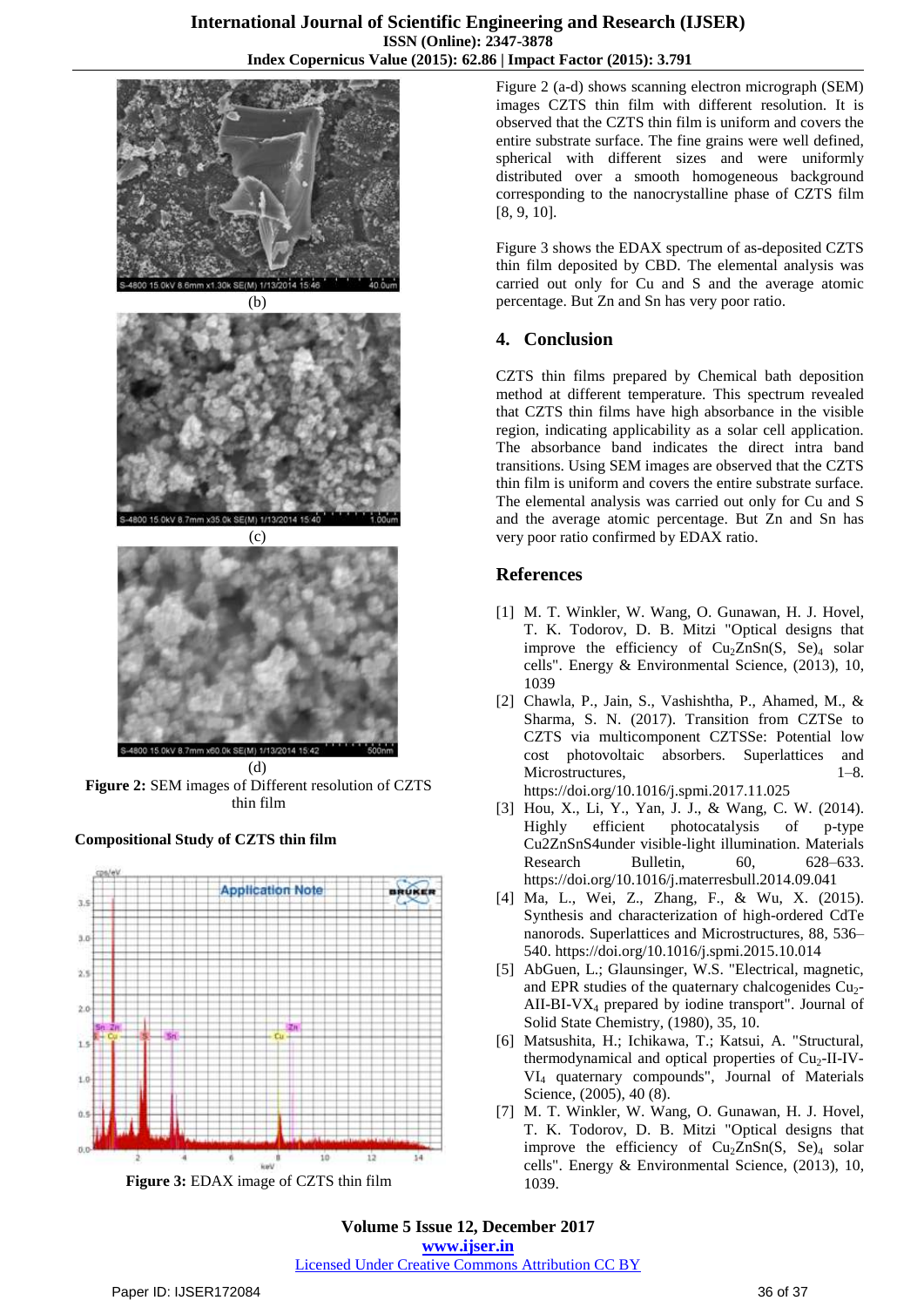





(d) **Figure 2:** SEM images of Different resolution of CZTS thin film

### **Compositional Study of CZTS thin film**



**Figure 3:** EDAX image of CZTS thin film

Figure 2 (a-d) shows scanning electron micrograph (SEM) images CZTS thin film with different resolution. It is observed that the CZTS thin film is uniform and covers the entire substrate surface. The fine grains were well defined, spherical with different sizes and were uniformly distributed over a smooth homogeneous background corresponding to the nanocrystalline phase of CZTS film [8, 9, 10].

Figure 3 shows the EDAX spectrum of as-deposited CZTS thin film deposited by CBD. The elemental analysis was carried out only for Cu and S and the average atomic percentage. But Zn and Sn has very poor ratio.

## **4. Conclusion**

CZTS thin films prepared by Chemical bath deposition method at different temperature. This spectrum revealed that CZTS thin films have high absorbance in the visible region, indicating applicability as a solar cell application. The absorbance band indicates the direct intra band transitions. Using SEM images are observed that the CZTS thin film is uniform and covers the entire substrate surface. The elemental analysis was carried out only for Cu and S and the average atomic percentage. But Zn and Sn has very poor ratio confirmed by EDAX ratio.

### **References**

- [1] M. T. Winkler, W. Wang, O. Gunawan, H. J. Hovel, T. K. Todorov, D. B. Mitzi "Optical designs that improve the efficiency of  $Cu<sub>2</sub>ZnSn(S, Se)<sub>4</sub> solar$ cells". Energy & Environmental Science, (2013), [10,](http://dx.doi.org/10.1039%2FC3EE42541J) [1039](http://dx.doi.org/10.1039%2FC3EE42541J)
- [2] Chawla, P., Jain, S., Vashishtha, P., Ahamed, M., & Sharma, S. N. (2017). Transition from CZTSe to CZTS via multicomponent CZTSSe: Potential low cost photovoltaic absorbers. Superlattices and Microstructures, 1–8. https://doi.org/10.1016/j.spmi.2017.11.025
- [3] Hou, X., Li, Y., Yan, J. J., & Wang, C. W. (2014). Highly efficient photocatalysis of p-type Cu2ZnSnS4under visible-light illumination. Materials Research Bulletin, 60, 628–633. https://doi.org/10.1016/j.materresbull.2014.09.041
- [4] Ma, L., Wei, Z., Zhang, F., & Wu, X. (2015). Synthesis and characterization of high-ordered CdTe nanorods. Superlattices and Microstructures, 88, 536– 540. https://doi.org/10.1016/j.spmi.2015.10.014
- [5] [AbG](http://en.wikipedia.org/wiki/CZTS#cite_ref-str_3-0)uen, L.; Glaunsinger, W.S. "Electrical, magnetic, and EPR studies of the quaternary chalcogenides  $Cu<sub>2</sub>$ -AII-BI-V $X_4$  prepared by iodine transport". Journal of Solid State Chemistry, (1980), 35, 10.
- [6] Matsushita, H.; Ichikawa, T.; Katsui, A. "Structural, thermodynamical and optical properties of  $Cu<sub>2</sub>-II-IV-$ VI<sup>4</sup> quaternary compounds", Journal of Materials Science, (2005), 40 (8).
- [7] M. T. Winkler, W. Wang, O. Gunawan, H. J. Hovel, T. K. Todorov, D. B. Mitzi "Optical designs that improve the efficiency of  $Cu<sub>2</sub>ZnSn(S, Se)<sub>4</sub>$  solar cells". Energy & Environmental Science, (2013), [10,](http://dx.doi.org/10.1039%2FC3EE42541J) [1039.](http://dx.doi.org/10.1039%2FC3EE42541J)

**Volume 5 Issue 12, December 2017 <www.ijser.in>** [Licensed Under Creative Commons Attribution CC BY](http://creativecommons.org/licenses/by/4.0/)